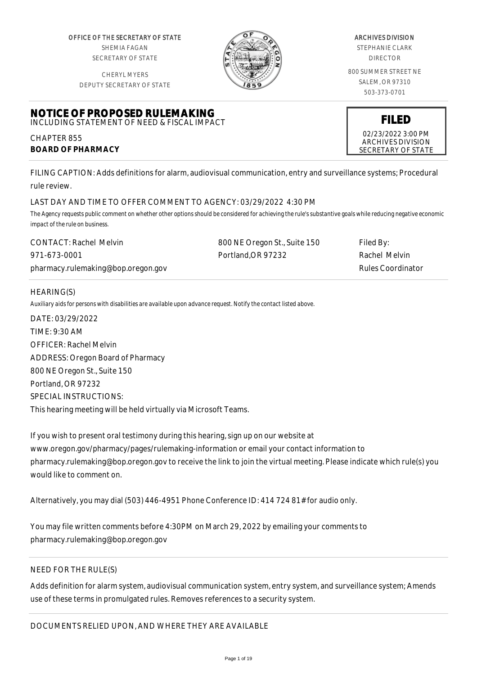OFFICE OF THE SECRETARY OF STATE SHEMIA FAGAN SECRETARY OF STATE

CHERYL MYERS



#### ARCHIVES DIVISION

STEPHANIE CLARK DIRECTOR

800 SUMMER STREET NE SALEM, OR 97310 503-373-0701

> **FILED** 02/23/2022 3:00 PM ARCHIVES DIVISION SECRETARY OF STATE

DEPUTY SECRETARY OF STATE

#### **NOTICE OF PROPOSED RULEMAKING** INCLUDING STATEMENT OF NEED & FISCAL IMPACT

CHAPTER 855 **BOARD OF PHARMACY**

FILING CAPTION: Adds definitions for alarm, audiovisual communication, entry and surveillance systems; Procedural rule review.

## LAST DAY AND TIME TO OFFER COMMENT TO AGENCY: 03/29/2022 4:30 PM

*The Agency requests public comment on whether other options should be considered for achieving the rule's substantive goals while reducing negative economic impact of the rule on business.*

| <b>CONTACT: Rachel Melvin</b>      | 800 NE Oregon St., Suite 150 | Filed By:         |
|------------------------------------|------------------------------|-------------------|
| 971-673-0001                       | Portland.OR 97232            | Rachel Melvin     |
| pharmacy.rulemaking@bop.oregon.gov |                              | Rules Coordinator |

## HEARING(S)

*Auxiliary aids for persons with disabilities are available upon advance request. Notify the contact listed above.*

DATE: 03/29/2022 TIME: 9:30 AM OFFICER: Rachel Melvin ADDRESS: Oregon Board of Pharmacy 800 NE Oregon St., Suite 150 Portland, OR 97232 SPECIAL INSTRUCTIONS: This hearing meeting will be held virtually via Microsoft Teams.

If you wish to present oral testimony during this hearing, sign up on our website at www.oregon.gov/pharmacy/pages/rulemaking-information or email your contact information to pharmacy.rulemaking@bop.oregon.gov to receive the link to join the virtual meeting. Please indicate which rule(s) you would like to comment on.

Alternatively, you may dial (503) 446-4951 Phone Conference ID: 414 724 81# for audio only.

You may file written comments before 4:30PM on March 29, 2022 by emailing your comments to pharmacy.rulemaking@bop.oregon.gov

# NEED FOR THE RULE(S)

Adds definition for alarm system, audiovisual communication system, entry system, and surveillance system; Amends use of these terms in promulgated rules. Removes references to a security system.

DOCUMENTS RELIED UPON, AND WHERE THEY ARE AVAILABLE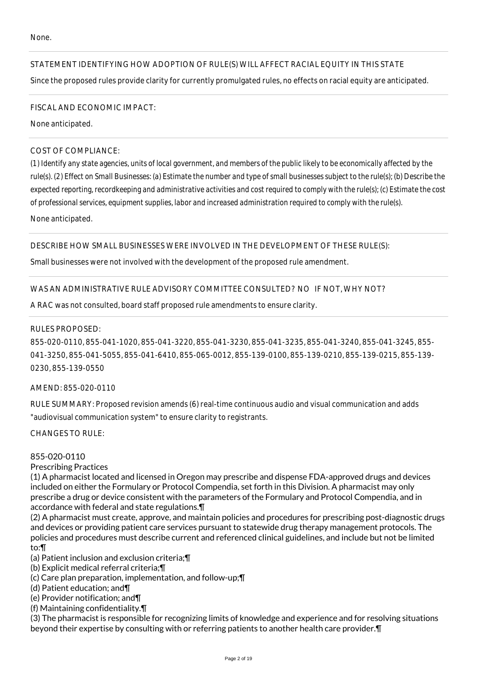## STATEMENT IDENTIFYING HOW ADOPTION OF RULE(S) WILL AFFECT RACIAL EQUITY IN THIS STATE

Since the proposed rules provide clarity for currently promulgated rules, no effects on racial equity are anticipated.

#### FISCAL AND ECONOMIC IMPACT:

None anticipated.

### COST OF COMPLIANCE:

*(1) Identify any state agencies, units of local government, and members of the public likely to be economically affected by the rule(s). (2) Effect on Small Businesses: (a) Estimate the number and type of small businesses subject to the rule(s); (b) Describe the expected reporting, recordkeeping and administrative activities and cost required to comply with the rule(s); (c) Estimate the cost of professional services, equipment supplies, labor and increased administration required to comply with the rule(s).*

None anticipated.

### DESCRIBE HOW SMALL BUSINESSES WERE INVOLVED IN THE DEVELOPMENT OF THESE RULE(S):

Small businesses were not involved with the development of the proposed rule amendment.

### WAS AN ADMINISTRATIVE RULE ADVISORY COMMITTEE CONSULTED? NO IF NOT, WHY NOT?

A RAC was not consulted, board staff proposed rule amendments to ensure clarity.

### RULES PROPOSED:

855-020-0110, 855-041-1020, 855-041-3220, 855-041-3230, 855-041-3235, 855-041-3240, 855-041-3245, 855- 041-3250, 855-041-5055, 855-041-6410, 855-065-0012, 855-139-0100, 855-139-0210, 855-139-0215, 855-139- 0230, 855-139-0550

#### AMEND: 855-020-0110

RULE SUMMARY: Proposed revision amends (6) real-time continuous audio and visual communication and adds "audiovisual communication system" to ensure clarity to registrants.

CHANGES TO RULE:

#### 855-020-0110

#### Prescribing Practices

(1) A pharmacist located and licensed in Oregon may prescribe and dispense FDA-approved drugs and devices included on either the Formulary or Protocol Compendia, set forth in this Division. A pharmacist may only prescribe a drug or device consistent with the parameters of the Formulary and Protocol Compendia, and in accordance with federal and state regulations.¶

(2) A pharmacist must create, approve, and maintain policies and procedures for prescribing post-diagnostic drugs and devices or providing patient care services pursuant to statewide drug therapy management protocols. The policies and procedures must describe current and referenced clinical guidelines, and include but not be limited to:¶

- (a) Patient inclusion and exclusion criteria;¶
- (b) Explicit medical referral criteria;¶
- (c) Care plan preparation, implementation, and follow-up;¶
- (d) Patient education; and¶
- (e) Provider notification; and¶
- (f) Maintaining confidentiality.¶

(3) The pharmacist is responsible for recognizing limits of knowledge and experience and for resolving situations beyond their expertise by consulting with or referring patients to another health care provider.¶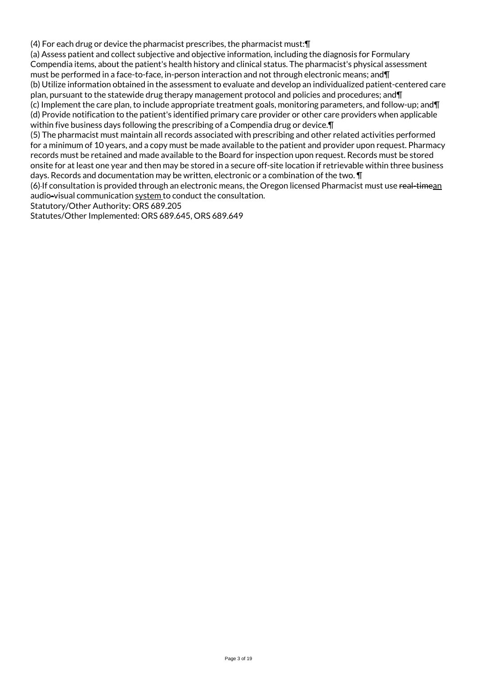(4) For each drug or device the pharmacist prescribes, the pharmacist must:¶

(a) Assess patient and collect subjective and objective information, including the diagnosis for Formulary Compendia items, about the patient's health history and clinical status. The pharmacist's physical assessment must be performed in a face-to-face, in-person interaction and not through electronic means; and¶ (b) Utilize information obtained in the assessment to evaluate and develop an individualized patient-centered care plan, pursuant to the statewide drug therapy management protocol and policies and procedures; and¶ (c) Implement the care plan, to include appropriate treatment goals, monitoring parameters, and follow-up; and¶ (d) Provide notification to the patient's identified primary care provider or other care providers when applicable within five business days following the prescribing of a Compendia drug or device.¶

(5) The pharmacist must maintain all records associated with prescribing and other related activities performed for a minimum of 10 years, and a copy must be made available to the patient and provider upon request. Pharmacy records must be retained and made available to the Board for inspection upon request. Records must be stored onsite for at least one year and then may be stored in a secure off-site location if retrievable within three business days. Records and documentation may be written, electronic or a combination of the two. ¶

(6)-If consultation is provided through an electronic means, the Oregon licensed Pharmacist must use real-timean audio-visual communication system to conduct the consultation.

Statutory/Other Authority: ORS 689.205

Statutes/Other Implemented: ORS 689.645, ORS 689.649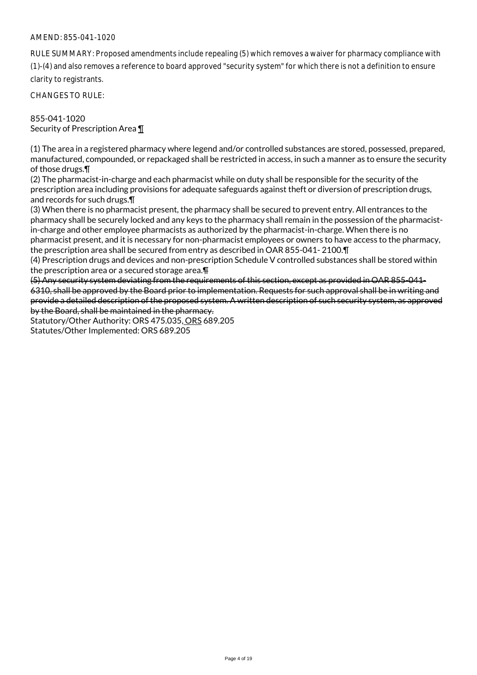RULE SUMMARY: Proposed amendments include repealing (5) which removes a waiver for pharmacy compliance with (1)-(4) and also removes a reference to board approved "security system" for which there is not a definition to ensure clarity to registrants.

CHANGES TO RULE:

855-041-1020 Security of Prescription Area ¶

(1) The area in a registered pharmacy where legend and/or controlled substances are stored, possessed, prepared, manufactured, compounded, or repackaged shall be restricted in access, in such a manner as to ensure the security of those drugs.¶

(2) The pharmacist-in-charge and each pharmacist while on duty shall be responsible for the security of the prescription area including provisions for adequate safeguards against theft or diversion of prescription drugs, and records for such drugs.¶

(3) When there is no pharmacist present, the pharmacy shall be secured to prevent entry. All entrances to the pharmacy shall be securely locked and any keys to the pharmacy shall remain in the possession of the pharmacistin-charge and other employee pharmacists as authorized by the pharmacist-in-charge. When there is no pharmacist present, and it is necessary for non-pharmacist employees or owners to have access to the pharmacy, the prescription area shall be secured from entry as described in OAR 855-041- 2100.¶

(4) Prescription drugs and devices and non-prescription Schedule V controlled substances shall be stored within the prescription area or a secured storage area.¶

(5) Any security system deviating from the requirements of this section, except as provided in OAR 855-041- 6310, shall be approved by the Board prior to implementation. Requests for such approval shall be in writing and provide a detailed description of the proposed system. A written description of such security system, as approved by the Board, shall be maintained in the pharmacy.

Statutory/Other Authority: ORS 475.035, ORS 689.205 Statutes/Other Implemented: ORS 689.205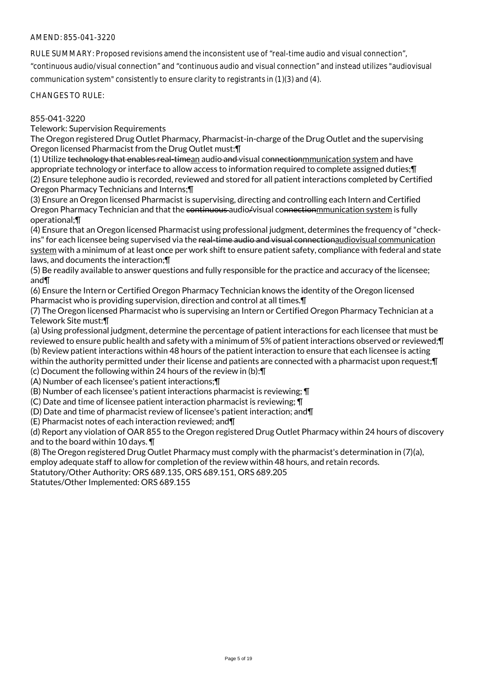RULE SUMMARY: Proposed revisions amend the inconsistent use of "real-time audio and visual connection", "continuous audio/visual connection" and "continuous audio and visual connection" and instead utilizes "audiovisual

communication system" consistently to ensure clarity to registrants in (1)(3) and (4).

CHANGES TO RULE:

#### 855-041-3220

Telework: Supervision Requirements

The Oregon registered Drug Outlet Pharmacy, Pharmacist-in-charge of the Drug Outlet and the supervising Oregon licensed Pharmacist from the Drug Outlet must:¶

(1) Utilize technology that enables real-timean audio and visual connectionmmunication system and have appropriate technology or interface to allow access to information required to complete assigned duties;¶ (2) Ensure telephone audio is recorded, reviewed and stored for all patient interactions completed by Certified Oregon Pharmacy Technicians and Interns;¶

(3) Ensure an Oregon licensed Pharmacist is supervising, directing and controlling each Intern and Certified Oregon Pharmacy Technician and that the continuous audio/visual connectionmunication system is fully operational;¶

(4) Ensure that an Oregon licensed Pharmacist using professional judgment, determines the frequency of "checkins" for each licensee being supervised via the real-time audio and visual connectionaudiovisual communication system with a minimum of at least once per work shift to ensure patient safety, compliance with federal and state laws, and documents the interaction;¶

(5) Be readily available to answer questions and fully responsible for the practice and accuracy of the licensee; and¶

(6) Ensure the Intern or Certified Oregon Pharmacy Technician knows the identity of the Oregon licensed Pharmacist who is providing supervision, direction and control at all times.¶

(7) The Oregon licensed Pharmacist who is supervising an Intern or Certified Oregon Pharmacy Technician at a Telework Site must:¶

(a) Using professional judgment, determine the percentage of patient interactions for each licensee that must be reviewed to ensure public health and safety with a minimum of 5% of patient interactions observed or reviewed;¶ (b) Review patient interactions within 48 hours of the patient interaction to ensure that each licensee is acting within the authority permitted under their license and patients are connected with a pharmacist upon request; [

(c) Document the following within 24 hours of the review in (b):¶

(A) Number of each licensee's patient interactions;¶

(B) Number of each licensee's patient interactions pharmacist is reviewing; ¶

(C) Date and time of licensee patient interaction pharmacist is reviewing; ¶

(D) Date and time of pharmacist review of licensee's patient interaction; and¶

(E) Pharmacist notes of each interaction reviewed; and¶

(d) Report any violation of OAR 855 to the Oregon registered Drug Outlet Pharmacy within 24 hours of discovery and to the board within 10 days. ¶

(8) The Oregon registered Drug Outlet Pharmacy must comply with the pharmacist's determination in (7)(a),

employ adequate staff to allow for completion of the review within 48 hours, and retain records.

Statutory/Other Authority: ORS 689.135, ORS 689.151, ORS 689.205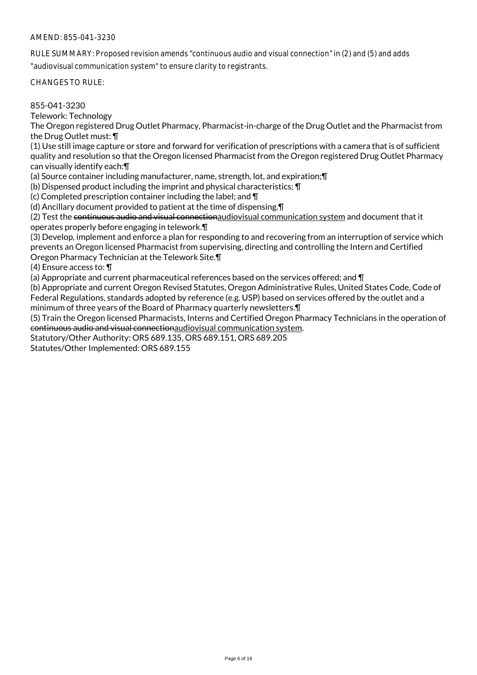RULE SUMMARY: Proposed revision amends "continuous audio and visual connection" in (2) and (5) and adds

"audiovisual communication system" to ensure clarity to registrants.

CHANGES TO RULE:

#### 855-041-3230

Telework: Technology

The Oregon registered Drug Outlet Pharmacy, Pharmacist-in-charge of the Drug Outlet and the Pharmacist from the Drug Outlet must: ¶

(1) Use still image capture or store and forward for verification of prescriptions with a camera that is of sufficient quality and resolution so that the Oregon licensed Pharmacist from the Oregon registered Drug Outlet Pharmacy can visually identify each:¶

(a) Source container including manufacturer, name, strength, lot, and expiration;¶

(b) Dispensed product including the imprint and physical characteristics; ¶

(c) Completed prescription container including the label; and ¶

(d) Ancillary document provided to patient at the time of dispensing.¶

(2) Test the continuous audio and visual connectionaudiovisual communication system and document that it operates properly before engaging in telework.¶

(3) Develop, implement and enforce a plan for responding to and recovering from an interruption of service which prevents an Oregon licensed Pharmacist from supervising, directing and controlling the Intern and Certified Oregon Pharmacy Technician at the Telework Site.¶

(4) Ensure access to: ¶

(a) Appropriate and current pharmaceutical references based on the services offered; and ¶

(b) Appropriate and current Oregon Revised Statutes, Oregon Administrative Rules, United States Code, Code of Federal Regulations, standards adopted by reference (e.g. USP) based on services offered by the outlet and a minimum of three years of the Board of Pharmacy quarterly newsletters.¶

(5) Train the Oregon licensed Pharmacists, Interns and Certified Oregon Pharmacy Technicians in the operation of continuous audio and visual connectionaudiovisual communication system.

Statutory/Other Authority: ORS 689.135, ORS 689.151, ORS 689.205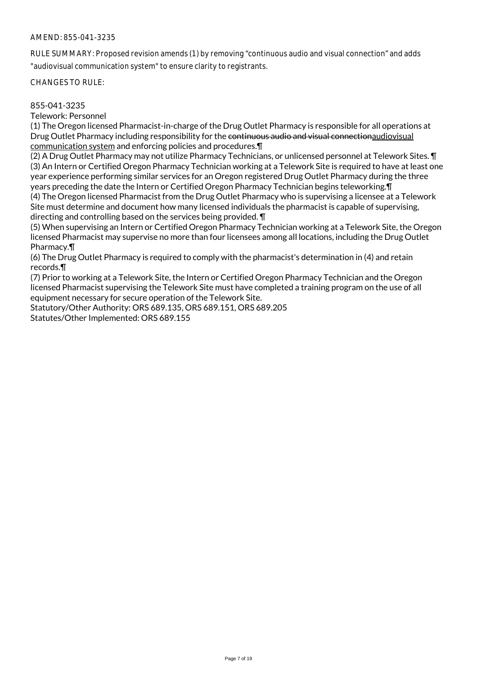RULE SUMMARY: Proposed revision amends (1) by removing "continuous audio and visual connection" and adds "audiovisual communication system" to ensure clarity to registrants.

CHANGES TO RULE:

### 855-041-3235

Telework: Personnel

(1) The Oregon licensed Pharmacist-in-charge of the Drug Outlet Pharmacy is responsible for all operations at Drug Outlet Pharmacy including responsibility for the continuous audio and visual connectionaudiovisual communication system and enforcing policies and procedures.¶

(2) A Drug Outlet Pharmacy may not utilize Pharmacy Technicians, or unlicensed personnel at Telework Sites. ¶ (3) An Intern or Certified Oregon Pharmacy Technician working at a Telework Site is required to have at least one year experience performing similar services for an Oregon registered Drug Outlet Pharmacy during the three years preceding the date the Intern or Certified Oregon Pharmacy Technician begins teleworking.¶ (4) The Oregon licensed Pharmacist from the Drug Outlet Pharmacy who is supervising a licensee at a Telework Site must determine and document how many licensed individuals the pharmacist is capable of supervising,

directing and controlling based on the services being provided. ¶

(5) When supervising an Intern or Certified Oregon Pharmacy Technician working at a Telework Site, the Oregon licensed Pharmacist may supervise no more than four licensees among all locations, including the Drug Outlet Pharmacy.¶

(6) The Drug Outlet Pharmacy is required to comply with the pharmacist's determination in (4) and retain records.¶

(7) Prior to working at a Telework Site, the Intern or Certified Oregon Pharmacy Technician and the Oregon licensed Pharmacist supervising the Telework Site must have completed a training program on the use of all equipment necessary for secure operation of the Telework Site.

Statutory/Other Authority: ORS 689.135, ORS 689.151, ORS 689.205 Statutes/Other Implemented: ORS 689.155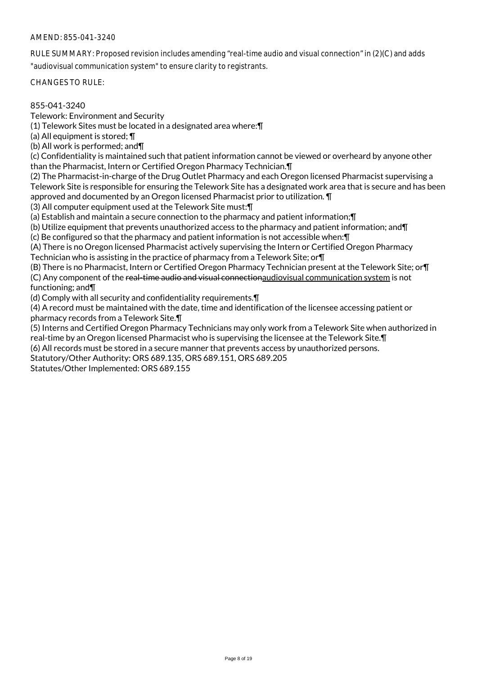RULE SUMMARY: Proposed revision includes amending "real-time audio and visual connection" in (2)(C) and adds "audiovisual communication system" to ensure clarity to registrants.

CHANGES TO RULE:

#### 855-041-3240

Telework: Environment and Security

(1) Telework Sites must be located in a designated area where:¶

(a) All equipment is stored; ¶

(b) All work is performed; and¶

(c) Confidentiality is maintained such that patient information cannot be viewed or overheard by anyone other than the Pharmacist, Intern or Certified Oregon Pharmacy Technician.¶

(2) The Pharmacist-in-charge of the Drug Outlet Pharmacy and each Oregon licensed Pharmacist supervising a Telework Site is responsible for ensuring the Telework Site has a designated work area that is secure and has been approved and documented by an Oregon licensed Pharmacist prior to utilization. ¶

(3) All computer equipment used at the Telework Site must:¶

(a) Establish and maintain a secure connection to the pharmacy and patient information;¶

(b) Utilize equipment that prevents unauthorized access to the pharmacy and patient information; and¶

(c) Be configured so that the pharmacy and patient information is not accessible when:¶

(A) There is no Oregon licensed Pharmacist actively supervising the Intern or Certified Oregon Pharmacy Technician who is assisting in the practice of pharmacy from a Telework Site; or¶

(B) There is no Pharmacist, Intern or Certified Oregon Pharmacy Technician present at the Telework Site; or¶ (C) Any component of the real-time audio and visual connectionaudiovisual communication system is not functioning; and¶

(d) Comply with all security and confidentiality requirements.¶

(4) A record must be maintained with the date, time and identification of the licensee accessing patient or pharmacy records from a Telework Site.¶

(5) Interns and Certified Oregon Pharmacy Technicians may only work from a Telework Site when authorized in real-time by an Oregon licensed Pharmacist who is supervising the licensee at the Telework Site.¶

(6) All records must be stored in a secure manner that prevents access by unauthorized persons.

Statutory/Other Authority: ORS 689.135, ORS 689.151, ORS 689.205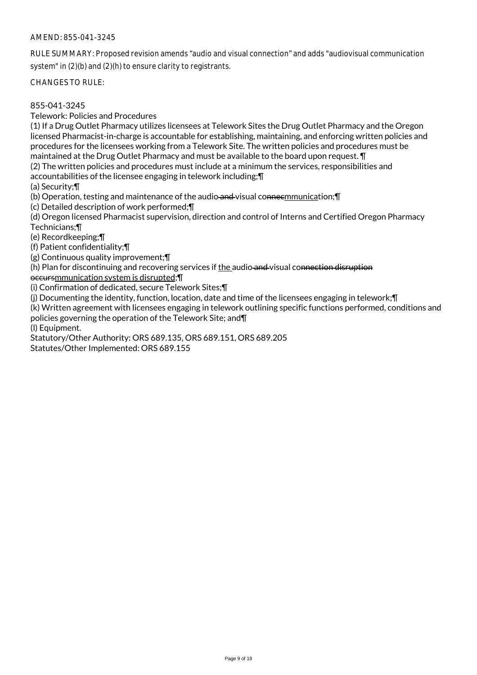RULE SUMMARY: Proposed revision amends "audio and visual connection" and adds "audiovisual communication system" in (2)(b) and (2)(h) to ensure clarity to registrants.

CHANGES TO RULE:

### 855-041-3245

Telework: Policies and Procedures

(1) If a Drug Outlet Pharmacy utilizes licensees at Telework Sites the Drug Outlet Pharmacy and the Oregon licensed Pharmacist-in-charge is accountable for establishing, maintaining, and enforcing written policies and procedures for the licensees working from a Telework Site. The written policies and procedures must be maintained at the Drug Outlet Pharmacy and must be available to the board upon request. ¶

(2) The written policies and procedures must include at a minimum the services, responsibilities and

accountabilities of the licensee engaging in telework including;¶

(a) Security;¶

(b) Operation, testing and maintenance of the audio and visual connecmmunication; []

(c) Detailed description of work performed;¶

(d) Oregon licensed Pharmacist supervision, direction and control of Interns and Certified Oregon Pharmacy Technicians;¶

(e) Recordkeeping;¶

(f) Patient confidentiality;¶

(g) Continuous quality improvement;¶

(h) Plan for discontinuing and recovering services if the audio and visual connection disruption

occursmmunication system is disrupted;¶

(i) Confirmation of dedicated, secure Telework Sites;¶

(j) Documenting the identity, function, location, date and time of the licensees engaging in telework;¶

(k) Written agreement with licensees engaging in telework outlining specific functions performed, conditions and policies governing the operation of the Telework Site; and¶

(l) Equipment.

Statutory/Other Authority: ORS 689.135, ORS 689.151, ORS 689.205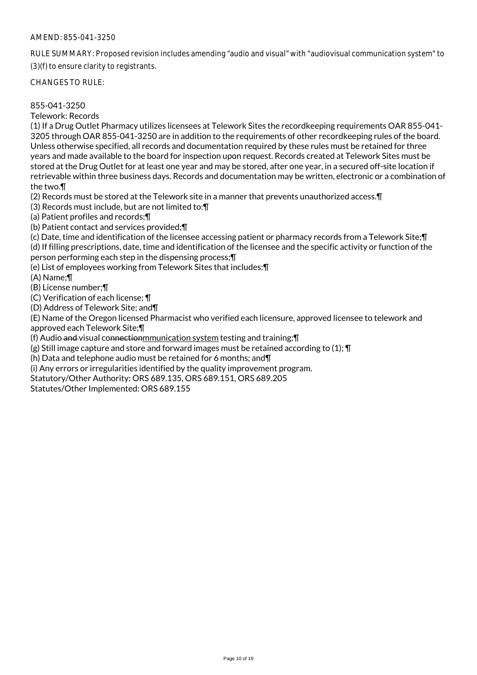RULE SUMMARY: Proposed revision includes amending "audio and visual" with "audiovisual communication system" to (3)(f) to ensure clarity to registrants.

CHANGES TO RULE:

### 855-041-3250

Telework: Records

(1) If a Drug Outlet Pharmacy utilizes licensees at Telework Sites the recordkeeping requirements OAR 855-041- 3205 through OAR 855-041-3250 are in addition to the requirements of other recordkeeping rules of the board. Unless otherwise specified, all records and documentation required by these rules must be retained for three years and made available to the board for inspection upon request. Records created at Telework Sites must be stored at the Drug Outlet for at least one year and may be stored, after one year, in a secured off-site location if retrievable within three business days. Records and documentation may be written, electronic or a combination of the two.¶

(2) Records must be stored at the Telework site in a manner that prevents unauthorized access.¶

(3) Records must include, but are not limited to:¶

(a) Patient profiles and records;¶

(b) Patient contact and services provided;¶

(c) Date, time and identification of the licensee accessing patient or pharmacy records from a Telework Site;¶

(d) If filling prescriptions, date, time and identification of the licensee and the specific activity or function of the person performing each step in the dispensing process;¶

(e) List of employees working from Telework Sites that includes:¶

(A) Name;¶

(B) License number;¶

(C) Verification of each license; ¶

(D) Address of Telework Site; and¶

(E) Name of the Oregon licensed Pharmacist who verified each licensure, approved licensee to telework and approved each Telework Site;¶

(f) Audio and visual connectionmmunication system testing and training;¶

(g) Still image capture and store and forward images must be retained according to (1); ¶

(h) Data and telephone audio must be retained for 6 months; and¶

(i) Any errors or irregularities identified by the quality improvement program.

Statutory/Other Authority: ORS 689.135, ORS 689.151, ORS 689.205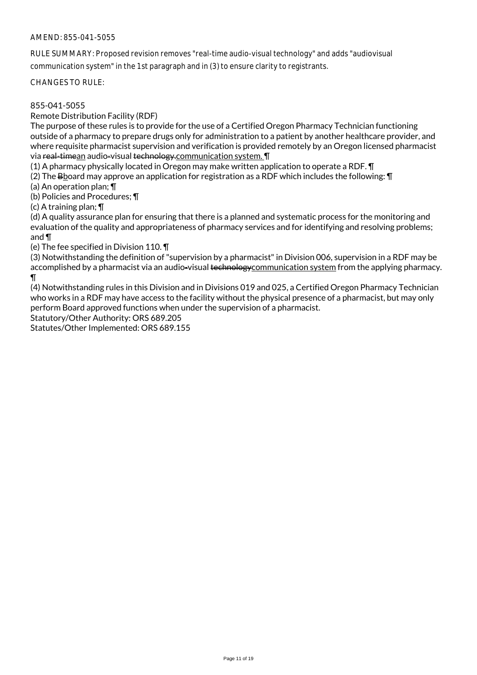RULE SUMMARY: Proposed revision removes "real-time audio-visual technology" and adds "audiovisual communication system" in the 1st paragraph and in (3) to ensure clarity to registrants.

CHANGES TO RULE:

### 855-041-5055

Remote Distribution Facility (RDF)

The purpose of these rules is to provide for the use of a Certified Oregon Pharmacy Technician functioning outside of a pharmacy to prepare drugs only for administration to a patient by another healthcare provider, and where requisite pharmacist supervision and verification is provided remotely by an Oregon licensed pharmacist via real-timean audio-visual technology.communication system. I

(1) A pharmacy physically located in Oregon may make written application to operate a RDF. ¶

(2) The B board may approve an application for registration as a RDF which includes the following:  $\P$ 

(a) An operation plan; ¶

(b) Policies and Procedures; ¶

(c) A training plan; ¶

(d) A quality assurance plan for ensuring that there is a planned and systematic process for the monitoring and evaluation of the quality and appropriateness of pharmacy services and for identifying and resolving problems; and ¶

(e) The fee specified in Division 110. ¶

(3) Notwithstanding the definition of "supervision by a pharmacist" in Division 006, supervision in a RDF may be accomplished by a pharmacist via an audio-visual technologycommunication system from the applying pharmacy.  $\P$ 

(4) Notwithstanding rules in this Division and in Divisions 019 and 025, a Certified Oregon Pharmacy Technician who works in a RDF may have access to the facility without the physical presence of a pharmacist, but may only perform Board approved functions when under the supervision of a pharmacist.

Statutory/Other Authority: ORS 689.205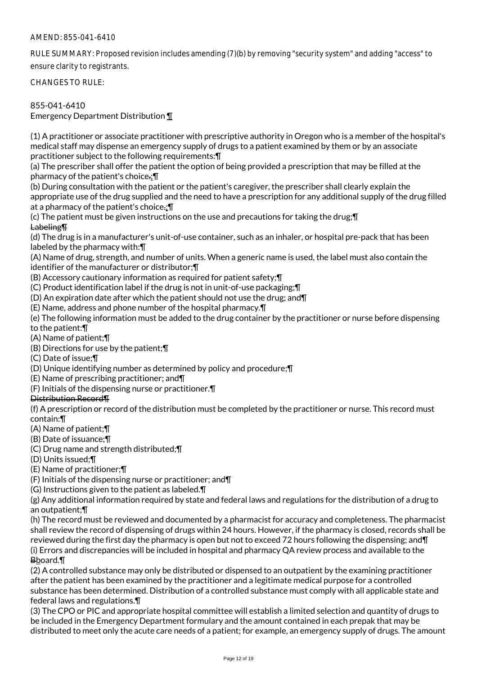RULE SUMMARY: Proposed revision includes amending (7)(b) by removing "security system" and adding "access" to ensure clarity to registrants.

CHANGES TO RULE:

## 855-041-6410

Emergency Department Distribution ¶

(1) A practitioner or associate practitioner with prescriptive authority in Oregon who is a member of the hospital's medical staff may dispense an emergency supply of drugs to a patient examined by them or by an associate practitioner subject to the following requirements:¶

(a) The prescriber shall offer the patient the option of being provided a prescription that may be filled at the pharmacy of the patient's choice.;¶

(b) During consultation with the patient or the patient's caregiver, the prescriber shall clearly explain the appropriate use of the drug supplied and the need to have a prescription for any additional supply of the drug filled at a pharmacy of the patient's choice.;¶

(c) The patient must be given instructions on the use and precautions for taking the drug;¶ Labeling¶

(d) The drug is in a manufacturer's unit-of-use container, such as an inhaler, or hospital pre-pack that has been labeled by the pharmacy with:¶

(A) Name of drug, strength, and number of units. When a generic name is used, the label must also contain the identifier of the manufacturer or distributor;¶

(B) Accessory cautionary information as required for patient safety;¶

(C) Product identification label if the drug is not in unit-of-use packaging;¶

(D) An expiration date after which the patient should not use the drug; and¶

(E) Name, address and phone number of the hospital pharmacy.¶

(e) The following information must be added to the drug container by the practitioner or nurse before dispensing to the patient:¶

(A) Name of patient;¶

(B) Directions for use by the patient;¶

(C) Date of issue;¶

(D) Unique identifying number as determined by policy and procedure;¶

(E) Name of prescribing practitioner; and¶

(F) Initials of the dispensing nurse or practitioner.¶

## Distribution Record¶

(f) A prescription or record of the distribution must be completed by the practitioner or nurse. This record must contain:¶

(A) Name of patient;¶

(B) Date of issuance;¶

(C) Drug name and strength distributed;¶

(D) Units issued;¶

(E) Name of practitioner;¶

(F) Initials of the dispensing nurse or practitioner; and¶

(G) Instructions given to the patient as labeled.¶

(g) Any additional information required by state and federal laws and regulations for the distribution of a drug to an outpatient;¶

(h) The record must be reviewed and documented by a pharmacist for accuracy and completeness. The pharmacist shall review the record of dispensing of drugs within 24 hours. However, if the pharmacy is closed, records shall be reviewed during the first day the pharmacy is open but not to exceed 72 hours following the dispensing; and¶ (i) Errors and discrepancies will be included in hospital and pharmacy QA review process and available to the Bboard.¶

(2) A controlled substance may only be distributed or dispensed to an outpatient by the examining practitioner after the patient has been examined by the practitioner and a legitimate medical purpose for a controlled substance has been determined. Distribution of a controlled substance must comply with all applicable state and federal laws and regulations.¶

(3) The CPO or PIC and appropriate hospital committee will establish a limited selection and quantity of drugs to be included in the Emergency Department formulary and the amount contained in each prepak that may be distributed to meet only the acute care needs of a patient; for example, an emergency supply of drugs. The amount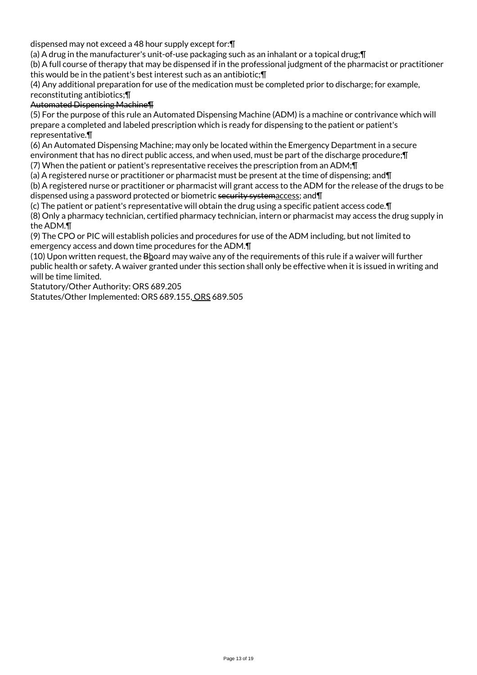dispensed may not exceed a 48 hour supply except for:¶

(a) A drug in the manufacturer's unit-of-use packaging such as an inhalant or a topical drug;¶

(b) A full course of therapy that may be dispensed if in the professional judgment of the pharmacist or practitioner this would be in the patient's best interest such as an antibiotic;¶

(4) Any additional preparation for use of the medication must be completed prior to discharge; for example, reconstituting antibiotics;¶

Automated Dispensing Machine¶

(5) For the purpose of this rule an Automated Dispensing Machine (ADM) is a machine or contrivance which will prepare a completed and labeled prescription which is ready for dispensing to the patient or patient's representative.¶

(6) An Automated Dispensing Machine; may only be located within the Emergency Department in a secure environment that has no direct public access, and when used, must be part of the discharge procedure;¶

(7) When the patient or patient's representative receives the prescription from an ADM;¶

(a) A registered nurse or practitioner or pharmacist must be present at the time of dispensing; and¶ (b) A registered nurse or practitioner or pharmacist will grant access to the ADM for the release of the drugs to be dispensed using a password protected or biometric security systemaccess; and¶

(c) The patient or patient's representative will obtain the drug using a specific patient access code.¶

(8) Only a pharmacy technician, certified pharmacy technician, intern or pharmacist may access the drug supply in the ADM.¶

(9) The CPO or PIC will establish policies and procedures for use of the ADM including, but not limited to emergency access and down time procedures for the ADM.¶

(10) Upon written request, the Bboard may waive any of the requirements of this rule if a waiver will further public health or safety. A waiver granted under this section shall only be effective when it is issued in writing and will be time limited.

Statutory/Other Authority: ORS 689.205

Statutes/Other Implemented: ORS 689.155, ORS 689.505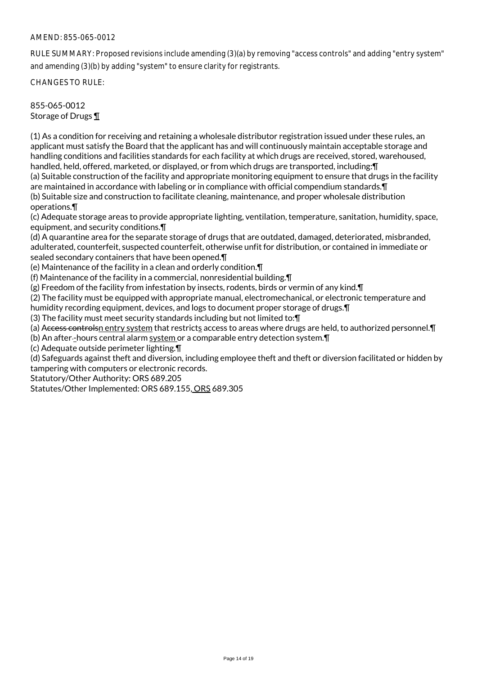### AMEND: 855-065-0012

RULE SUMMARY: Proposed revisions include amending (3)(a) by removing "access controls" and adding "entry system" and amending (3)(b) by adding "system" to ensure clarity for registrants.

CHANGES TO RULE:

855-065-0012 Storage of Drugs ¶

(1) As a condition for receiving and retaining a wholesale distributor registration issued under these rules, an applicant must satisfy the Board that the applicant has and will continuously maintain acceptable storage and handling conditions and facilities standards for each facility at which drugs are received, stored, warehoused, handled, held, offered, marketed, or displayed, or from which drugs are transported, including:¶

(a) Suitable construction of the facility and appropriate monitoring equipment to ensure that drugs in the facility are maintained in accordance with labeling or in compliance with official compendium standards.¶ (b) Suitable size and construction to facilitate cleaning, maintenance, and proper wholesale distribution

operations.¶

(c) Adequate storage areas to provide appropriate lighting, ventilation, temperature, sanitation, humidity, space, equipment, and security conditions.¶

(d) A quarantine area for the separate storage of drugs that are outdated, damaged, deteriorated, misbranded, adulterated, counterfeit, suspected counterfeit, otherwise unfit for distribution, or contained in immediate or sealed secondary containers that have been opened.¶

(e) Maintenance of the facility in a clean and orderly condition.¶

(f) Maintenance of the facility in a commercial, nonresidential building.¶

(g) Freedom of the facility from infestation by insects, rodents, birds or vermin of any kind.¶

(2) The facility must be equipped with appropriate manual, electromechanical, or electronic temperature and

humidity recording equipment, devices, and logs to document proper storage of drugs.¶

(3) The facility must meet security standards including but not limited to:¶

(a) Access controlsn entry system that restricts access to areas where drugs are held, to authorized personnel. I

(b) An after -hours central alarm system or a comparable entry detection system.¶

(c) Adequate outside perimeter lighting.¶

(d) Safeguards against theft and diversion, including employee theft and theft or diversion facilitated or hidden by tampering with computers or electronic records.

Statutory/Other Authority: ORS 689.205

Statutes/Other Implemented: ORS 689.155, ORS 689.305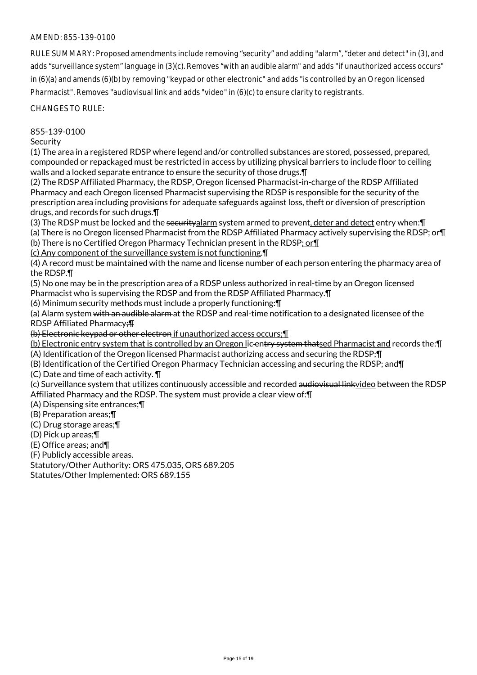RULE SUMMARY: Proposed amendments include removing "security" and adding "alarm", "deter and detect" in (3), and adds "surveillance system" language in (3)(c). Removes "with an audible alarm" and adds "if unauthorized access occurs" in (6)(a) and amends (6)(b) by removing "keypad or other electronic" and adds "is controlled by an Oregon licensed Pharmacist". Removes "audiovisual link and adds "video" in (6)(c) to ensure clarity to registrants.

#### CHANGES TO RULE:

### 855-139-0100

**Security** 

(1) The area in a registered RDSP where legend and/or controlled substances are stored, possessed, prepared, compounded or repackaged must be restricted in access by utilizing physical barriers to include floor to ceiling walls and a locked separate entrance to ensure the security of those drugs.¶

(2) The RDSP Affiliated Pharmacy, the RDSP, Oregon licensed Pharmacist-in-charge of the RDSP Affiliated Pharmacy and each Oregon licensed Pharmacist supervising the RDSP is responsible for the security of the prescription area including provisions for adequate safeguards against loss, theft or diversion of prescription drugs, and records for such drugs.¶

(3) The RDSP must be locked and the securityalarm system armed to prevent, deter and detect entry when:¶

(a) There is no Oregon licensed Pharmacist from the RDSP Affiliated Pharmacy actively supervising the RDSP; or¶

(b) There is no Certified Oregon Pharmacy Technician present in the RDSP; or¶

(c) Any component of the surveillance system is not functioning.¶

(4) A record must be maintained with the name and license number of each person entering the pharmacy area of the RDSP.¶

(5) No one may be in the prescription area of a RDSP unless authorized in real-time by an Oregon licensed Pharmacist who is supervising the RDSP and from the RDSP Affiliated Pharmacy.¶

(6) Minimum security methods must include a properly functioning:¶

(a) Alarm system with an audible alarm at the RDSP and real-time notification to a designated licensee of the RDSP Affiliated Pharmacy;¶

(b) Electronic keypad or other electron if unauthorized access occurs;¶

(b) Electronic entry system that is controlled by an Oregon lic entry system thatsed Pharmacist and records the:¶

(A) Identification of the Oregon licensed Pharmacist authorizing access and securing the RDSP;¶

(B) Identification of the Certified Oregon Pharmacy Technician accessing and securing the RDSP; and¶

(C) Date and time of each activity. ¶

(c) Surveillance system that utilizes continuously accessible and recorded audiovisual linkvideo between the RDSP Affiliated Pharmacy and the RDSP. The system must provide a clear view of:¶

(A) Dispensing site entrances;¶

(B) Preparation areas;¶

(C) Drug storage areas;¶

(D) Pick up areas;¶

(E) Office areas; and¶

(F) Publicly accessible areas.

Statutory/Other Authority: ORS 475.035, ORS 689.205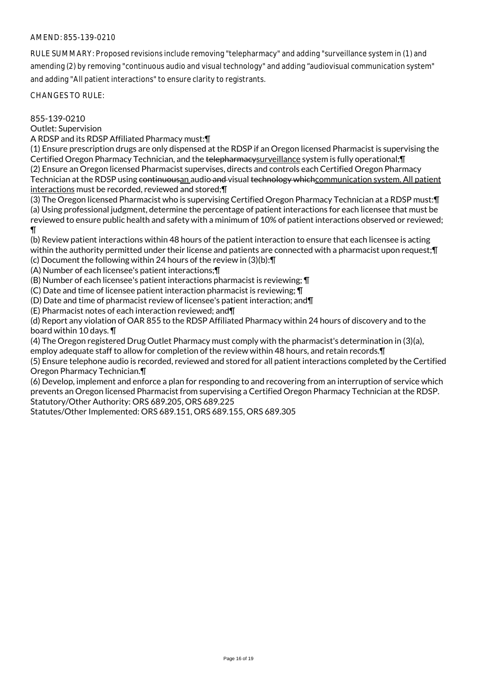RULE SUMMARY: Proposed revisions include removing "telepharmacy" and adding "surveillance system in (1) and amending (2) by removing "continuous audio and visual technology" and adding "audiovisual communication system" and adding "All patient interactions" to ensure clarity to registrants.

CHANGES TO RULE:

855-139-0210

Outlet: Supervision

A RDSP and its RDSP Affiliated Pharmacy must:¶

(1) Ensure prescription drugs are only dispensed at the RDSP if an Oregon licensed Pharmacist is supervising the Certified Oregon Pharmacy Technician, and the telepharmacysurveillance system is fully operational; [[ (2) Ensure an Oregon licensed Pharmacist supervises, directs and controls each Certified Oregon Pharmacy Technician at the RDSP using continuousan audio and visual technology which communication system. All patient interactions must be recorded, reviewed and stored;¶

(3) The Oregon licensed Pharmacist who is supervising Certified Oregon Pharmacy Technician at a RDSP must:¶ (a) Using professional judgment, determine the percentage of patient interactions for each licensee that must be reviewed to ensure public health and safety with a minimum of 10% of patient interactions observed or reviewed; ¶

(b) Review patient interactions within 48 hours of the patient interaction to ensure that each licensee is acting within the authority permitted under their license and patients are connected with a pharmacist upon request;¶

(c) Document the following within 24 hours of the review in (3)(b):¶

(A) Number of each licensee's patient interactions;¶

(B) Number of each licensee's patient interactions pharmacist is reviewing; ¶

(C) Date and time of licensee patient interaction pharmacist is reviewing; ¶

(D) Date and time of pharmacist review of licensee's patient interaction; and¶

(E) Pharmacist notes of each interaction reviewed; and¶

(d) Report any violation of OAR 855 to the RDSP Affiliated Pharmacy within 24 hours of discovery and to the board within 10 days. ¶

(4) The Oregon registered Drug Outlet Pharmacy must comply with the pharmacist's determination in (3)(a),

employ adequate staff to allow for completion of the review within 48 hours, and retain records.¶

(5) Ensure telephone audio is recorded, reviewed and stored for all patient interactions completed by the Certified Oregon Pharmacy Technician.¶

(6) Develop, implement and enforce a plan for responding to and recovering from an interruption of service which prevents an Oregon licensed Pharmacist from supervising a Certified Oregon Pharmacy Technician at the RDSP. Statutory/Other Authority: ORS 689.205, ORS 689.225

Statutes/Other Implemented: ORS 689.151, ORS 689.155, ORS 689.305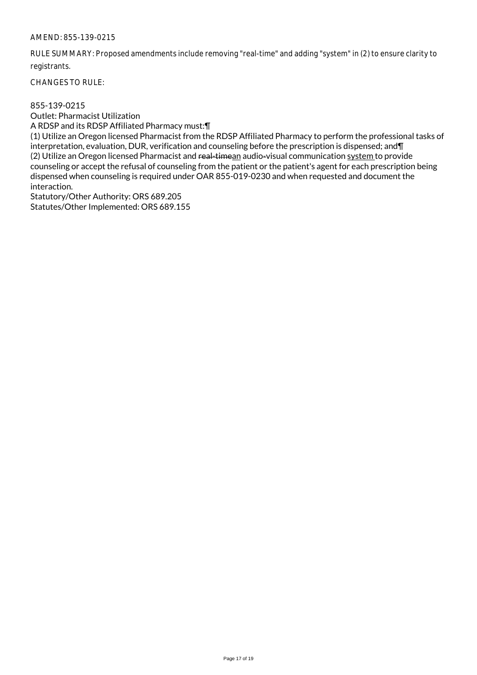RULE SUMMARY: Proposed amendments include removing "real-time" and adding "system" in (2) to ensure clarity to registrants.

CHANGES TO RULE:

#### 855-139-0215

Outlet: Pharmacist Utilization

A RDSP and its RDSP Affiliated Pharmacy must:¶

(1) Utilize an Oregon licensed Pharmacist from the RDSP Affiliated Pharmacy to perform the professional tasks of interpretation, evaluation, DUR, verification and counseling before the prescription is dispensed; and¶ (2) Utilize an Oregon licensed Pharmacist and real-timean audio-visual communication system to provide counseling or accept the refusal of counseling from the patient or the patient's agent for each prescription being dispensed when counseling is required under OAR 855-019-0230 and when requested and document the interaction.

Statutory/Other Authority: ORS 689.205 Statutes/Other Implemented: ORS 689.155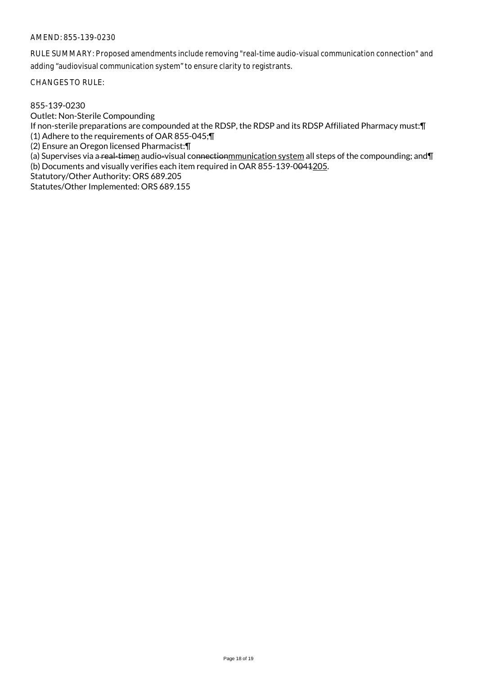RULE SUMMARY: Proposed amendments include removing "real-time audio-visual communication connection" and adding "audiovisual communication system" to ensure clarity to registrants.

CHANGES TO RULE:

855-139-0230

Outlet: Non-Sterile Compounding

If non-sterile preparations are compounded at the RDSP, the RDSP and its RDSP Affiliated Pharmacy must:¶ (1) Adhere to the requirements of OAR 855-045;¶

(2) Ensure an Oregon licensed Pharmacist:¶

(a) Supervises via a real-timen audio-visual connectionmunication system all steps of the compounding; and T (b) Documents and visually verifies each item required in OAR 855-139-0044205.

Statutory/Other Authority: ORS 689.205